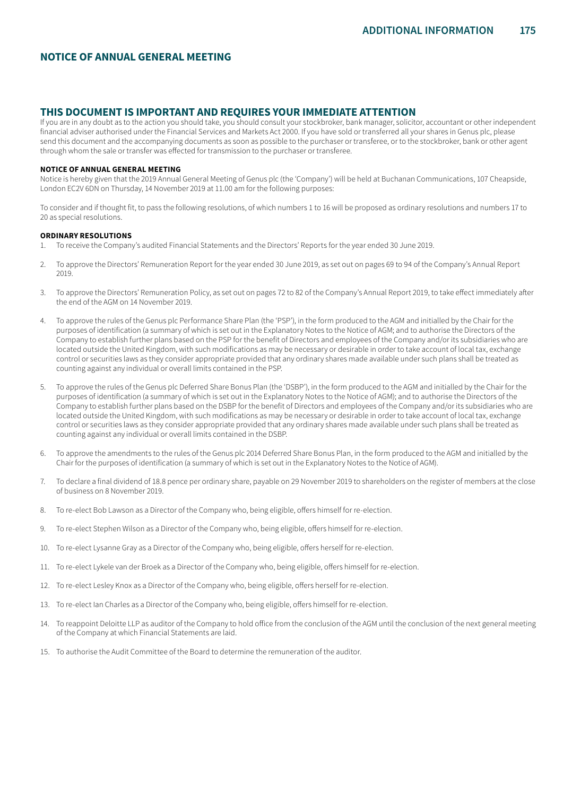# **NOTICE OF ANNUAL GENERAL MEETING**

# **THIS DOCUMENT IS IMPORTANT AND REQUIRES YOUR IMMEDIATE ATTENTION**

If you are in any doubt as to the action you should take, you should consult your stockbroker, bank manager, solicitor, accountant or other independent financial adviser authorised under the Financial Services and Markets Act 2000. If you have sold or transferred all your shares in Genus plc, please send this document and the accompanying documents as soon as possible to the purchaser or transferee, or to the stockbroker, bank or other agent through whom the sale or transfer was effected for transmission to the purchaser or transferee.

#### **NOTICE OF ANNUAL GENERAL MEETING**

Notice is hereby given that the 2019 Annual General Meeting of Genus plc (the 'Company') will be held at Buchanan Communications, 107 Cheapside, London EC2V 6DN on Thursday, 14 November 2019 at 11.00 am for the following purposes:

To consider and if thought fit, to pass the following resolutions, of which numbers 1 to 16 will be proposed as ordinary resolutions and numbers 17 to 20 as special resolutions.

#### **ORDINARY RESOLUTIONS**

- 1. To receive the Company's audited Financial Statements and the Directors' Reports for the year ended 30 June 2019.
- 2. To approve the Directors' Remuneration Report for the year ended 30 June 2019, as set out on pages 69 to 94 of the Company's Annual Report 2019.
- 3. To approve the Directors' Remuneration Policy, as set out on pages 72 to 82 of the Company's Annual Report 2019, to take effect immediately after the end of the AGM on 14 November 2019.
- 4. To approve the rules of the Genus plc Performance Share Plan (the 'PSP'), in the form produced to the AGM and initialled by the Chair for the purposes of identification (a summary of which is set out in the Explanatory Notes to the Notice of AGM; and to authorise the Directors of the Company to establish further plans based on the PSP for the benefit of Directors and employees of the Company and/or its subsidiaries who are located outside the United Kingdom, with such modifications as may be necessary or desirable in order to take account of local tax, exchange control or securities laws as they consider appropriate provided that any ordinary shares made available under such plans shall be treated as counting against any individual or overall limits contained in the PSP.
- 5. To approve the rules of the Genus plc Deferred Share Bonus Plan (the 'DSBP'), in the form produced to the AGM and initialled by the Chair for the purposes of identification (a summary of which is set out in the Explanatory Notes to the Notice of AGM); and to authorise the Directors of the Company to establish further plans based on the DSBP for the benefit of Directors and employees of the Company and/or its subsidiaries who are located outside the United Kingdom, with such modifications as may be necessary or desirable in order to take account of local tax, exchange control or securities laws as they consider appropriate provided that any ordinary shares made available under such plans shall be treated as counting against any individual or overall limits contained in the DSBP.
- 6. To approve the amendments to the rules of the Genus plc 2014 Deferred Share Bonus Plan, in the form produced to the AGM and initialled by the Chair for the purposes of identification (a summary of which is set out in the Explanatory Notes to the Notice of AGM).
- 7. To declare a final dividend of 18.8 pence per ordinary share, payable on 29 November 2019 to shareholders on the register of members at the close of business on 8 November 2019.
- 8. To re-elect Bob Lawson as a Director of the Company who, being eligible, offers himself for re-election.
- 9. To re-elect Stephen Wilson as a Director of the Company who, being eligible, offers himself for re-election.
- 10. To re-elect Lysanne Gray as a Director of the Company who, being eligible, offers herself for re-election.
- 11. To re-elect Lykele van der Broek as a Director of the Company who, being eligible, offers himself for re-election.
- 12. To re-elect Lesley Knox as a Director of the Company who, being eligible, offers herself for re-election.
- 13. To re-elect Ian Charles as a Director of the Company who, being eligible, offers himself for re-election.
- 14. To reappoint Deloitte LLP as auditor of the Company to hold office from the conclusion of the AGM until the conclusion of the next general meeting of the Company at which Financial Statements are laid.
- 15. To authorise the Audit Committee of the Board to determine the remuneration of the auditor.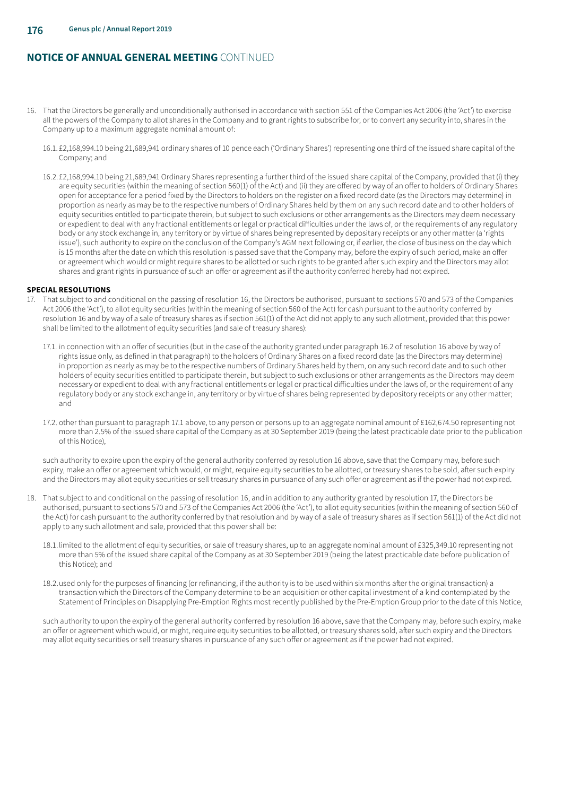- 16. That the Directors be generally and unconditionally authorised in accordance with section 551 of the Companies Act 2006 (the 'Act') to exercise all the powers of the Company to allot shares in the Company and to grant rights to subscribe for, or to convert any security into, shares in the Company up to a maximum aggregate nominal amount of:
	- 16.1. £2,168,994.10 being 21,689,941 ordinary shares of 10 pence each ('Ordinary Shares') representing one third of the issued share capital of the Company; and
	- 16.2.£2,168,994.10 being 21,689,941 Ordinary Shares representing a further third of the issued share capital of the Company, provided that (i) they are equity securities (within the meaning of section 560(1) of the Act) and (ii) they are offered by way of an offer to holders of Ordinary Shares open for acceptance for a period fixed by the Directors to holders on the register on a fixed record date (as the Directors may determine) in proportion as nearly as may be to the respective numbers of Ordinary Shares held by them on any such record date and to other holders of equity securities entitled to participate therein, but subject to such exclusions or other arrangements as the Directors may deem necessary or expedient to deal with any fractional entitlements or legal or practical difficulties under the laws of, or the requirements of any regulatory body or any stock exchange in, any territory or by virtue of shares being represented by depositary receipts or any other matter (a 'rights issue'), such authority to expire on the conclusion of the Company's AGM next following or, if earlier, the close of business on the day which is 15 months after the date on which this resolution is passed save that the Company may, before the expiry of such period, make an offer or agreement which would or might require shares to be allotted or such rights to be granted after such expiry and the Directors may allot shares and grant rights in pursuance of such an offer or agreement as if the authority conferred hereby had not expired.

#### **SPECIAL RESOLUTIONS**

- 17. That subject to and conditional on the passing of resolution 16, the Directors be authorised, pursuant to sections 570 and 573 of the Companies Act 2006 (the 'Act'), to allot equity securities (within the meaning of section 560 of the Act) for cash pursuant to the authority conferred by resolution 16 and by way of a sale of treasury shares as if section 561(1) of the Act did not apply to any such allotment, provided that this power shall be limited to the allotment of equity securities (and sale of treasury shares):
	- 17.1. in connection with an offer of securities (but in the case of the authority granted under paragraph 16.2 of resolution 16 above by way of rights issue only, as defined in that paragraph) to the holders of Ordinary Shares on a fixed record date (as the Directors may determine) in proportion as nearly as may be to the respective numbers of Ordinary Shares held by them, on any such record date and to such other holders of equity securities entitled to participate therein, but subject to such exclusions or other arrangements as the Directors may deem necessary or expedient to deal with any fractional entitlements or legal or practical difficulties under the laws of, or the requirement of any regulatory body or any stock exchange in, any territory or by virtue of shares being represented by depository receipts or any other matter; and
	- 17.2. other than pursuant to paragraph 17.1 above, to any person or persons up to an aggregate nominal amount of £162,674.50 representing not more than 2.5% of the issued share capital of the Company as at 30 September 2019 (being the latest practicable date prior to the publication of this Notice),

such authority to expire upon the expiry of the general authority conferred by resolution 16 above, save that the Company may, before such expiry, make an offer or agreement which would, or might, require equity securities to be allotted, or treasury shares to be sold, after such expiry and the Directors may allot equity securities or sell treasury shares in pursuance of any such offer or agreement as if the power had not expired.

- 18. That subject to and conditional on the passing of resolution 16, and in addition to any authority granted by resolution 17, the Directors be authorised, pursuant to sections 570 and 573 of the Companies Act 2006 (the 'Act'), to allot equity securities (within the meaning of section 560 of the Act) for cash pursuant to the authority conferred by that resolution and by way of a sale of treasury shares as if section 561(1) of the Act did not apply to any such allotment and sale, provided that this power shall be:
	- 18.1.limited to the allotment of equity securities, or sale of treasury shares, up to an aggregate nominal amount of £325,349.10 representing not more than 5% of the issued share capital of the Company as at 30 September 2019 (being the latest practicable date before publication of this Notice); and
	- 18.2.used only for the purposes of financing (or refinancing, if the authority is to be used within six months after the original transaction) a transaction which the Directors of the Company determine to be an acquisition or other capital investment of a kind contemplated by the Statement of Principles on Disapplying Pre-Emption Rights most recently published by the Pre-Emption Group prior to the date of this Notice,

such authority to upon the expiry of the general authority conferred by resolution 16 above, save that the Company may, before such expiry, make an offer or agreement which would, or might, require equity securities to be allotted, or treasury shares sold, after such expiry and the Directors may allot equity securities or sell treasury shares in pursuance of any such offer or agreement as if the power had not expired.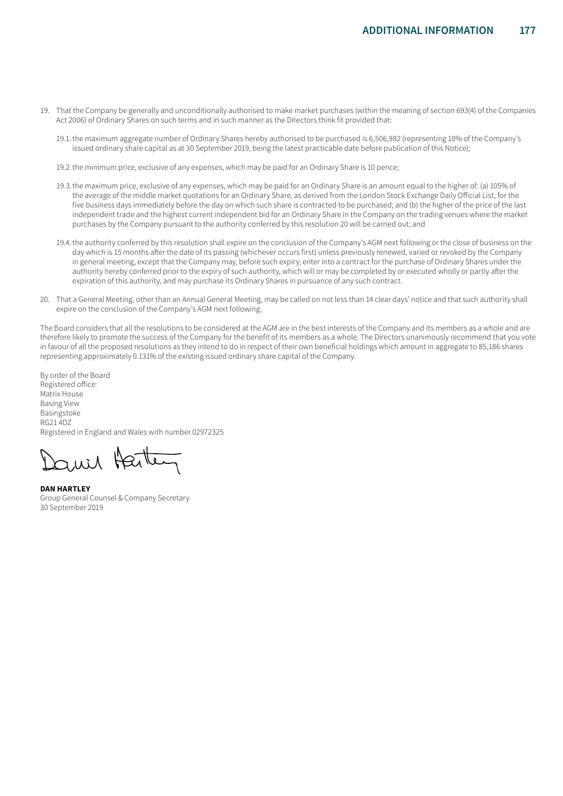- 19. That the Company be generally and unconditionally authorised to make market purchases (within the meaning of section 693(4) of the Companies Act 2006) of Ordinary Shares on such terms and in such manner as the Directors think fit provided that:
	- 19.1.the maximum aggregate number of Ordinary Shares hereby authorised to be purchased is 6,506,982 (representing 10% of the Company's issued ordinary share capital as at 30 September 2019, being the latest practicable date before publication of this Notice);
	- 19.2.the minimum price, exclusive of any expenses, which may be paid for an Ordinary Share is 10 pence;
	- 19.3.the maximum price, exclusive of any expenses, which may be paid for an Ordinary Share is an amount equal to the higher of: (a) 105% of the average of the middle market quotations for an Ordinary Share, as derived from the London Stock Exchange Daily Official List, for the five business days immediately before the day on which such share is contracted to be purchased; and (b) the higher of the price of the last independent trade and the highest current independent bid for an Ordinary Share in the Company on the trading venues where the market purchases by the Company pursuant to the authority conferred by this resolution 20 will be carried out; and
	- 19.4.the authority conferred by this resolution shall expire on the conclusion of the Company's AGM next following or the close of business on the day which is 15 months after the date of its passing (whichever occurs first) unless previously renewed, varied or revoked by the Company in general meeting, except that the Company may, before such expiry, enter into a contract for the purchase of Ordinary Shares under the authority hereby conferred prior to the expiry of such authority, which will or may be completed by or executed wholly or partly after the expiration of this authority, and may purchase its Ordinary Shares in pursuance of any such contract.
- 20. That a General Meeting, other than an Annual General Meeting, may be called on not less than 14 clear days' notice and that such authority shall expire on the conclusion of the Company's AGM next following.

The Board considers that all the resolutions to be considered at the AGM are in the best interests of the Company and its members as a whole and are therefore likely to promote the success of the Company for the benefit of its members as a whole. The Directors unanimously recommend that you vote in favour of all the proposed resolutions as they intend to do in respect of their own beneficial holdings which amount in aggregate to 85,186 shares representing approximately 0.131% of the existing issued ordinary share capital of the Company.

By order of the Board Registered office: Matrix House Basing View Basingstoke RG21 4DZ Registered in England and Wales with number 02972325

wil Harte

**DAN HARTLEY** Group General Counsel & Company Secretary 30 September 2019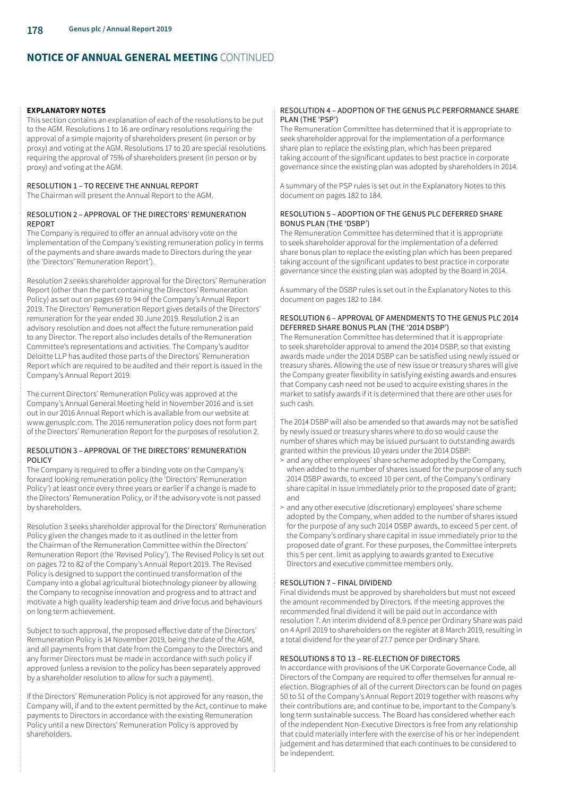#### **EXPLANATORY NOTES**

This section contains an explanation of each of the resolutions to be put to the AGM. Resolutions 1 to 16 are ordinary resolutions requiring the approval of a simple majority of shareholders present (in person or by proxy) and voting at the AGM. Resolutions 17 to 20 are special resolutions requiring the approval of 75% of shareholders present (in person or by proxy) and voting at the AGM.

## RESOLUTION 1 – TO RECEIVE THE ANNUAL REPORT

The Chairman will present the Annual Report to the AGM.

## RESOLUTION 2 – APPROVAL OF THE DIRECTORS' REMUNERATION REPORT

The Company is required to offer an annual advisory vote on the implementation of the Company's existing remuneration policy in terms of the payments and share awards made to Directors during the year (the 'Directors' Remuneration Report').

Resolution 2 seeks shareholder approval for the Directors' Remuneration Report (other than the part containing the Directors' Remuneration Policy) as set out on pages 69 to 94 of the Company's Annual Report 2019. The Directors' Remuneration Report gives details of the Directors' remuneration for the year ended 30 June 2019. Resolution 2 is an advisory resolution and does not affect the future remuneration paid to any Director. The report also includes details of the Remuneration Committee's representations and activities. The Company's auditor Deloitte LLP has audited those parts of the Directors' Remuneration Report which are required to be audited and their report is issued in the Company's Annual Report 2019.

The current Directors' Remuneration Policy was approved at the Company's Annual General Meeting held in November 2016 and is set out in our 2016 Annual Report which is available from our website at www.genusplc.com. The 2016 remuneration policy does not form part of the Directors' Remuneration Report for the purposes of resolution 2.

## RESOLUTION 3 – APPROVAL OF THE DIRECTORS' REMUNERATION POLICY

The Company is required to offer a binding vote on the Company's forward looking remuneration policy (the 'Directors' Remuneration Policy') at least once every three years or earlier if a change is made to the Directors' Remuneration Policy, or if the advisory vote is not passed by shareholders.

Resolution 3 seeks shareholder approval for the Directors' Remuneration Policy given the changes made to it as outlined in the letter from the Chairman of the Remuneration Committee within the Directors' Remuneration Report (the 'Revised Policy'). The Revised Policy is set out on pages 72 to 82 of the Company's Annual Report 2019. The Revised Policy is designed to support the continued transformation of the Company into a global agricultural biotechnology pioneer by allowing the Company to recognise innovation and progress and to attract and motivate a high quality leadership team and drive focus and behaviours on long term achievement.

Subject to such approval, the proposed effective date of the Directors' Remuneration Policy is 14 November 2019, being the date of the AGM, and all payments from that date from the Company to the Directors and any former Directors must be made in accordance with such policy if approved (unless a revision to the policy has been separately approved by a shareholder resolution to allow for such a payment).

If the Directors' Remuneration Policy is not approved for any reason, the Company will, if and to the extent permitted by the Act, continue to make payments to Directors in accordance with the existing Remuneration Policy until a new Directors' Remuneration Policy is approved by shareholders.

## RESOLUTION 4 – ADOPTION OF THE GENUS PLC PERFORMANCE SHARE PLAN (THE 'PSP')

The Remuneration Committee has determined that it is appropriate to seek shareholder approval for the implementation of a performance share plan to replace the existing plan, which has been prepared taking account of the significant updates to best practice in corporate governance since the existing plan was adopted by shareholders in 2014.

A summary of the PSP rules is set out in the Explanatory Notes to this document on pages 182 to 184.

#### RESOLUTION 5 – ADOPTION OF THE GENUS PLC DEFERRED SHARE BONUS PLAN (THE 'DSBP')

The Remuneration Committee has determined that it is appropriate to seek shareholder approval for the implementation of a deferred share bonus plan to replace the existing plan which has been prepared taking account of the significant updates to best practice in corporate governance since the existing plan was adopted by the Board in 2014.

A summary of the DSBP rules is set out in the Explanatory Notes to this document on pages 182 to 184.

## RESOLUTION 6 – APPROVAL OF AMENDMENTS TO THE GENUS PLC 2014 DEFERRED SHARE BONUS PLAN (THE '2014 DSBP')

The Remuneration Committee has determined that it is appropriate to seek shareholder approval to amend the 2014 DSBP, so that existing awards made under the 2014 DSBP can be satisfied using newly issued or treasury shares. Allowing the use of new issue or treasury shares will give the Company greater flexibility in satisfying existing awards and ensures that Company cash need not be used to acquire existing shares in the market to satisfy awards if it is determined that there are other uses for such cash.

The 2014 DSBP will also be amended so that awards may not be satisfied by newly issued or treasury shares where to do so would cause the number of shares which may be issued pursuant to outstanding awards granted within the previous 10 years under the 2014 DSBP:

- $\geq$  and any other employees' share scheme adopted by the Company, when added to the number of shares issued for the purpose of any such 2014 DSBP awards, to exceed 10 per cent. of the Company's ordinary share capital in issue immediately prior to the proposed date of grant; and
- > and any other executive (discretionary) employees' share scheme adopted by the Company, when added to the number of shares issued for the purpose of any such 2014 DSBP awards, to exceed 5 per cent. of the Company's ordinary share capital in issue immediately prior to the proposed date of grant. For these purposes, the Committee interprets this 5 per cent. limit as applying to awards granted to Executive Directors and executive committee members only.

## RESOLUTION 7 – FINAL DIVIDEND

Final dividends must be approved by shareholders but must not exceed the amount recommended by Directors. If the meeting approves the recommended final dividend it will be paid out in accordance with resolution 7. An interim dividend of 8.9 pence per Ordinary Share was paid on 4 April 2019 to shareholders on the register at 8 March 2019, resulting in a total dividend for the year of 27.7 pence per Ordinary Share.

## RESOLUTIONS 8 TO 13 – RE-ELECTION OF DIRECTORS

In accordance with provisions of the UK Corporate Governance Code, all Directors of the Company are required to offer themselves for annual reelection. Biographies of all of the current Directors can be found on pages 50 to 51 of the Company's Annual Report 2019 together with reasons why their contributions are, and continue to be, important to the Company's long term sustainable success. The Board has considered whether each of the independent Non-Executive Directors is free from any relationship that could materially interfere with the exercise of his or her independent judgement and has determined that each continues to be considered to be independent.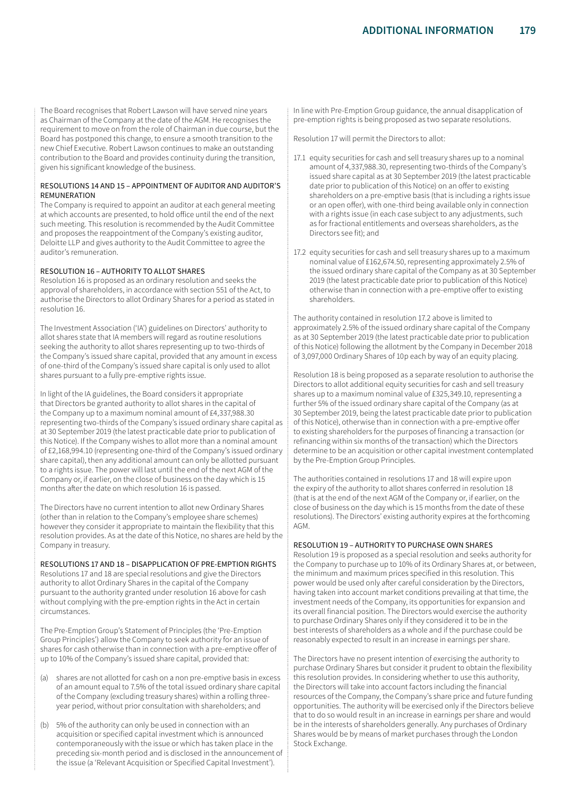The Board recognises that Robert Lawson will have served nine years as Chairman of the Company at the date of the AGM. He recognises the requirement to move on from the role of Chairman in due course, but the Board has postponed this change, to ensure a smooth transition to the new Chief Executive. Robert Lawson continues to make an outstanding contribution to the Board and provides continuity during the transition, given his significant knowledge of the business.

#### RESOLUTIONS 14 AND 15 – APPOINTMENT OF AUDITOR AND AUDITOR'S REMUNERATION

The Company is required to appoint an auditor at each general meeting at which accounts are presented, to hold office until the end of the next such meeting. This resolution is recommended by the Audit Committee and proposes the reappointment of the Company's existing auditor, Deloitte LLP and gives authority to the Audit Committee to agree the auditor's remuneration.

## RESOLUTION 16 – AUTHORITY TO ALLOT SHARES

Resolution 16 is proposed as an ordinary resolution and seeks the approval of shareholders, in accordance with section 551 of the Act, to authorise the Directors to allot Ordinary Shares for a period as stated in resolution 16.

The Investment Association ('IA') guidelines on Directors' authority to allot shares state that IA members will regard as routine resolutions seeking the authority to allot shares representing up to two-thirds of the Company's issued share capital, provided that any amount in excess of one-third of the Company's issued share capital is only used to allot shares pursuant to a fully pre-emptive rights issue.

In light of the IA guidelines, the Board considers it appropriate that Directors be granted authority to allot shares in the capital of the Company up to a maximum nominal amount of £4,337,988.30 representing two-thirds of the Company's issued ordinary share capital as at 30 September 2019 (the latest practicable date prior to publication of this Notice). If the Company wishes to allot more than a nominal amount of £2,168,994.10 (representing one-third of the Company's issued ordinary share capital), then any additional amount can only be allotted pursuant to a rights issue. The power will last until the end of the next AGM of the Company or, if earlier, on the close of business on the day which is 15 months after the date on which resolution 16 is passed.

The Directors have no current intention to allot new Ordinary Shares (other than in relation to the Company's employee share schemes) however they consider it appropriate to maintain the flexibility that this resolution provides. As at the date of this Notice, no shares are held by the Company in treasury.

RESOLUTIONS 17 AND 18 – DISAPPLICATION OF PRE-EMPTION RIGHTS Resolutions 17 and 18 are special resolutions and give the Directors authority to allot Ordinary Shares in the capital of the Company pursuant to the authority granted under resolution 16 above for cash without complying with the pre-emption rights in the Act in certain circumstances.

The Pre-Emption Group's Statement of Principles (the 'Pre-Emption Group Principles') allow the Company to seek authority for an issue of shares for cash otherwise than in connection with a pre-emptive offer of up to 10% of the Company's issued share capital, provided that:

- shares are not allotted for cash on a non pre-emptive basis in excess of an amount equal to 7.5% of the total issued ordinary share capital of the Company (excluding treasury shares) within a rolling threeyear period, without prior consultation with shareholders; and
- (b) 5% of the authority can only be used in connection with an acquisition or specified capital investment which is announced contemporaneously with the issue or which has taken place in the preceding six-month period and is disclosed in the announcement of the issue (a 'Relevant Acquisition or Specified Capital Investment').

In line with Pre-Emption Group guidance, the annual disapplication of pre-emption rights is being proposed as two separate resolutions.

Resolution 17 will permit the Directors to allot:

- 17.1 equity securities for cash and sell treasury shares up to a nominal amount of 4,337,988.30, representing two-thirds of the Company's issued share capital as at 30 September 2019 (the latest practicable date prior to publication of this Notice) on an offer to existing shareholders on a pre-emptive basis (that is including a rights issue or an open offer), with one-third being available only in connection with a rights issue (in each case subject to any adjustments, such as for fractional entitlements and overseas shareholders, as the Directors see fit); and
- 17.2 equity securities for cash and sell treasury shares up to a maximum nominal value of £162,674.50, representing approximately 2.5% of the issued ordinary share capital of the Company as at 30 September 2019 (the latest practicable date prior to publication of this Notice) otherwise than in connection with a pre-emptive offer to existing shareholders.

The authority contained in resolution 17.2 above is limited to approximately 2.5% of the issued ordinary share capital of the Company as at 30 September 2019 (the latest practicable date prior to publication of this Notice) following the allotment by the Company in December 2018 of 3,097,000 Ordinary Shares of 10p each by way of an equity placing.

Resolution 18 is being proposed as a separate resolution to authorise the Directors to allot additional equity securities for cash and sell treasury shares up to a maximum nominal value of £325,349.10, representing a further 5% of the issued ordinary share capital of the Company (as at 30 September 2019, being the latest practicable date prior to publication of this Notice), otherwise than in connection with a pre-emptive offer to existing shareholders for the purposes of financing a transaction (or refinancing within six months of the transaction) which the Directors determine to be an acquisition or other capital investment contemplated by the Pre-Emption Group Principles.

The authorities contained in resolutions 17 and 18 will expire upon the expiry of the authority to allot shares conferred in resolution 18 (that is at the end of the next AGM of the Company or, if earlier, on the close of business on the day which is 15 months from the date of these resolutions). The Directors' existing authority expires at the forthcoming AGM.

# RESOLUTION 19 – AUTHORITY TO PURCHASE OWN SHARES

Resolution 19 is proposed as a special resolution and seeks authority for the Company to purchase up to 10% of its Ordinary Shares at, or between, the minimum and maximum prices specified in this resolution. This power would be used only after careful consideration by the Directors, having taken into account market conditions prevailing at that time, the investment needs of the Company, its opportunities for expansion and its overall financial position. The Directors would exercise the authority to purchase Ordinary Shares only if they considered it to be in the best interests of shareholders as a whole and if the purchase could be reasonably expected to result in an increase in earnings per share.

The Directors have no present intention of exercising the authority to purchase Ordinary Shares but consider it prudent to obtain the flexibility this resolution provides. In considering whether to use this authority, the Directors will take into account factors including the financial resources of the Company, the Company's share price and future funding opportunities. The authority will be exercised only if the Directors believe that to do so would result in an increase in earnings per share and would be in the interests of shareholders generally. Any purchases of Ordinary Shares would be by means of market purchases through the London Stock Exchange.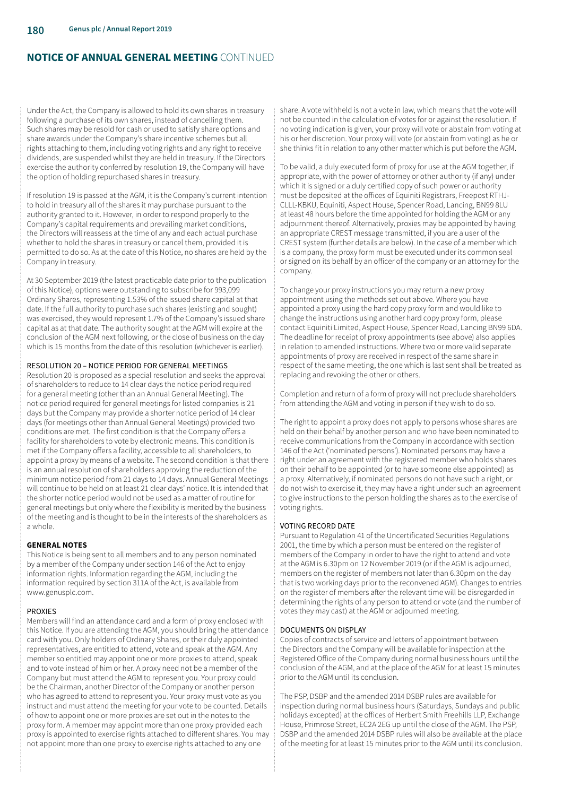Under the Act, the Company is allowed to hold its own shares in treasury following a purchase of its own shares, instead of cancelling them. Such shares may be resold for cash or used to satisfy share options and share awards under the Company's share incentive schemes but all rights attaching to them, including voting rights and any right to receive dividends, are suspended whilst they are held in treasury. If the Directors exercise the authority conferred by resolution 19, the Company will have the option of holding repurchased shares in treasury.

If resolution 19 is passed at the AGM, it is the Company's current intention to hold in treasury all of the shares it may purchase pursuant to the authority granted to it. However, in order to respond properly to the Company's capital requirements and prevailing market conditions, the Directors will reassess at the time of any and each actual purchase whether to hold the shares in treasury or cancel them, provided it is permitted to do so. As at the date of this Notice, no shares are held by the Company in treasury.

At 30 September 2019 (the latest practicable date prior to the publication of this Notice), options were outstanding to subscribe for 993,099 Ordinary Shares, representing 1.53% of the issued share capital at that date. If the full authority to purchase such shares (existing and sought) was exercised, they would represent 1.7% of the Company's issued share capital as at that date. The authority sought at the AGM will expire at the conclusion of the AGM next following, or the close of business on the day which is 15 months from the date of this resolution (whichever is earlier).

## RESOLUTION 20 – NOTICE PERIOD FOR GENERAL MEETINGS

Resolution 20 is proposed as a special resolution and seeks the approval of shareholders to reduce to 14 clear days the notice period required for a general meeting (other than an Annual General Meeting). The notice period required for general meetings for listed companies is 21 days but the Company may provide a shorter notice period of 14 clear days (for meetings other than Annual General Meetings) provided two conditions are met. The first condition is that the Company offers a facility for shareholders to vote by electronic means. This condition is met if the Company offers a facility, accessible to all shareholders, to appoint a proxy by means of a website. The second condition is that there is an annual resolution of shareholders approving the reduction of the minimum notice period from 21 days to 14 days. Annual General Meetings will continue to be held on at least 21 clear days' notice. It is intended that the shorter notice period would not be used as a matter of routine for general meetings but only where the flexibility is merited by the business of the meeting and is thought to be in the interests of the shareholders as a whole.

# **GENERAL NOTES**

This Notice is being sent to all members and to any person nominated by a member of the Company under section 146 of the Act to enjoy information rights. Information regarding the AGM, including the information required by section 311A of the Act, is available from www.genusplc.com.

# PROXIES

Members will find an attendance card and a form of proxy enclosed with this Notice. If you are attending the AGM, you should bring the attendance card with you. Only holders of Ordinary Shares, or their duly appointed representatives, are entitled to attend, vote and speak at the AGM. Any member so entitled may appoint one or more proxies to attend, speak and to vote instead of him or her. A proxy need not be a member of the Company but must attend the AGM to represent you. Your proxy could be the Chairman, another Director of the Company or another person who has agreed to attend to represent you. Your proxy must vote as you instruct and must attend the meeting for your vote to be counted. Details of how to appoint one or more proxies are set out in the notes to the proxy form. A member may appoint more than one proxy provided each proxy is appointed to exercise rights attached to different shares. You may not appoint more than one proxy to exercise rights attached to any one

share. A vote withheld is not a vote in law, which means that the vote will not be counted in the calculation of votes for or against the resolution. If no voting indication is given, your proxy will vote or abstain from voting at his or her discretion. Your proxy will vote (or abstain from voting) as he or she thinks fit in relation to any other matter which is put before the AGM.

To be valid, a duly executed form of proxy for use at the AGM together, if appropriate, with the power of attorney or other authority (if any) under which it is signed or a duly certified copy of such power or authority must be deposited at the offices of Equiniti Registrars, Freepost RTHJ-CLLL-KBKU, Equiniti, Aspect House, Spencer Road, Lancing, BN99 8LU at least 48 hours before the time appointed for holding the AGM or any adjournment thereof. Alternatively, proxies may be appointed by having an appropriate CREST message transmitted, if you are a user of the CREST system (further details are below). In the case of a member which is a company, the proxy form must be executed under its common seal or signed on its behalf by an officer of the company or an attorney for the company.

To change your proxy instructions you may return a new proxy appointment using the methods set out above. Where you have appointed a proxy using the hard copy proxy form and would like to change the instructions using another hard copy proxy form, please contact Equiniti Limited, Aspect House, Spencer Road, Lancing BN99 6DA. The deadline for receipt of proxy appointments (see above) also applies in relation to amended instructions. Where two or more valid separate appointments of proxy are received in respect of the same share in respect of the same meeting, the one which is last sent shall be treated as replacing and revoking the other or others.

Completion and return of a form of proxy will not preclude shareholders from attending the AGM and voting in person if they wish to do so.

The right to appoint a proxy does not apply to persons whose shares are held on their behalf by another person and who have been nominated to receive communications from the Company in accordance with section 146 of the Act ('nominated persons'). Nominated persons may have a right under an agreement with the registered member who holds shares on their behalf to be appointed (or to have someone else appointed) as a proxy. Alternatively, if nominated persons do not have such a right, or do not wish to exercise it, they may have a right under such an agreement to give instructions to the person holding the shares as to the exercise of voting rights.

## VOTING RECORD DATE

Pursuant to Regulation 41 of the Uncertificated Securities Regulations 2001, the time by which a person must be entered on the register of members of the Company in order to have the right to attend and vote at the AGM is 6.30pm on 12 November 2019 (or if the AGM is adjourned, members on the register of members not later than 6.30pm on the day that is two working days prior to the reconvened AGM). Changes to entries on the register of members after the relevant time will be disregarded in determining the rights of any person to attend or vote (and the number of votes they may cast) at the AGM or adjourned meeting.

## DOCUMENTS ON DISPLAY

Copies of contracts of service and letters of appointment between the Directors and the Company will be available for inspection at the Registered Office of the Company during normal business hours until the conclusion of the AGM, and at the place of the AGM for at least 15 minutes prior to the AGM until its conclusion.

The PSP, DSBP and the amended 2014 DSBP rules are available for inspection during normal business hours (Saturdays, Sundays and public holidays excepted) at the offices of Herbert Smith Freehills LLP, Exchange House, Primrose Street, EC2A 2EG up until the close of the AGM. The PSP, DSBP and the amended 2014 DSBP rules will also be available at the place of the meeting for at least 15 minutes prior to the AGM until its conclusion.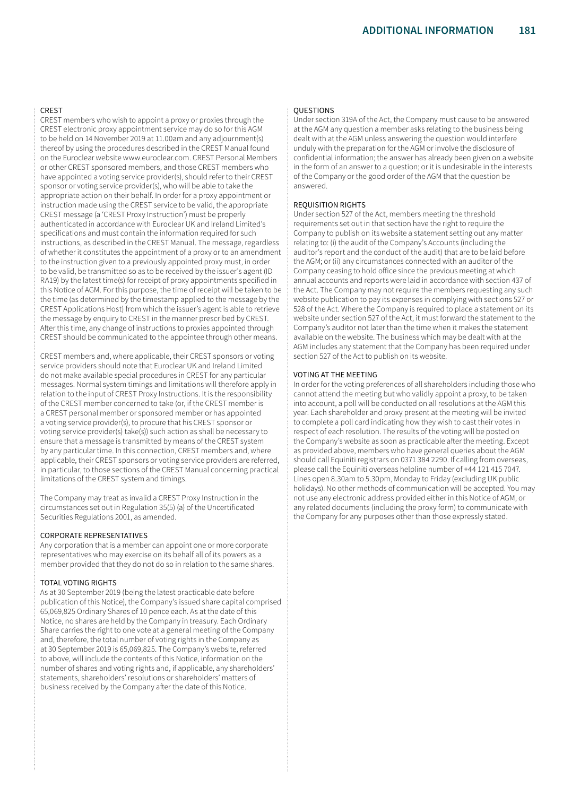#### CREST

CREST members who wish to appoint a proxy or proxies through the CREST electronic proxy appointment service may do so for this AGM to be held on 14 November 2019 at 11.00am and any adjournment(s) thereof by using the procedures described in the CREST Manual found on the Euroclear website www.euroclear.com. CREST Personal Members or other CREST sponsored members, and those CREST members who have appointed a voting service provider(s), should refer to their CREST sponsor or voting service provider(s), who will be able to take the appropriate action on their behalf. In order for a proxy appointment or instruction made using the CREST service to be valid, the appropriate CREST message (a 'CREST Proxy Instruction') must be properly authenticated in accordance with Euroclear UK and Ireland Limited's specifications and must contain the information required for such instructions, as described in the CREST Manual. The message, regardless of whether it constitutes the appointment of a proxy or to an amendment to the instruction given to a previously appointed proxy must, in order to be valid, be transmitted so as to be received by the issuer's agent (ID RA19) by the latest time(s) for receipt of proxy appointments specified in this Notice of AGM. For this purpose, the time of receipt will be taken to be the time (as determined by the timestamp applied to the message by the CREST Applications Host) from which the issuer's agent is able to retrieve the message by enquiry to CREST in the manner prescribed by CREST. After this time, any change of instructions to proxies appointed through CREST should be communicated to the appointee through other means.

CREST members and, where applicable, their CREST sponsors or voting service providers should note that Euroclear UK and Ireland Limited do not make available special procedures in CREST for any particular messages. Normal system timings and limitations will therefore apply in relation to the input of CREST Proxy Instructions. It is the responsibility of the CREST member concerned to take (or, if the CREST member is a CREST personal member or sponsored member or has appointed a voting service provider(s), to procure that his CREST sponsor or voting service provider(s) take(s)) such action as shall be necessary to ensure that a message is transmitted by means of the CREST system by any particular time. In this connection, CREST members and, where applicable, their CREST sponsors or voting service providers are referred, in particular, to those sections of the CREST Manual concerning practical limitations of the CREST system and timings.

The Company may treat as invalid a CREST Proxy Instruction in the circumstances set out in Regulation 35(5) (a) of the Uncertificated Securities Regulations 2001, as amended.

#### CORPORATE REPRESENTATIVES

Any corporation that is a member can appoint one or more corporate representatives who may exercise on its behalf all of its powers as a member provided that they do not do so in relation to the same shares.

#### TOTAL VOTING RIGHTS

As at 30 September 2019 (being the latest practicable date before publication of this Notice), the Company's issued share capital comprised 65,069,825 Ordinary Shares of 10 pence each. As at the date of this Notice, no shares are held by the Company in treasury. Each Ordinary Share carries the right to one vote at a general meeting of the Company and, therefore, the total number of voting rights in the Company as at 30 September 2019 is 65,069,825. The Company's website, referred to above, will include the contents of this Notice, information on the number of shares and voting rights and, if applicable, any shareholders' statements, shareholders' resolutions or shareholders' matters of business received by the Company after the date of this Notice.

#### **QUESTIONS**

Under section 319A of the Act, the Company must cause to be answered at the AGM any question a member asks relating to the business being dealt with at the AGM unless answering the question would interfere unduly with the preparation for the AGM or involve the disclosure of confidential information; the answer has already been given on a website in the form of an answer to a question; or it is undesirable in the interests of the Company or the good order of the AGM that the question be answered.

## REQUISITION RIGHTS

Under section 527 of the Act, members meeting the threshold requirements set out in that section have the right to require the Company to publish on its website a statement setting out any matter relating to: (i) the audit of the Company's Accounts (including the auditor's report and the conduct of the audit) that are to be laid before the AGM; or (ii) any circumstances connected with an auditor of the Company ceasing to hold office since the previous meeting at which annual accounts and reports were laid in accordance with section 437 of the Act. The Company may not require the members requesting any such website publication to pay its expenses in complying with sections 527 or 528 of the Act. Where the Company is required to place a statement on its website under section 527 of the Act, it must forward the statement to the Company's auditor not later than the time when it makes the statement available on the website. The business which may be dealt with at the AGM includes any statement that the Company has been required under section 527 of the Act to publish on its website.

## VOTING AT THE MEETING

In order for the voting preferences of all shareholders including those who cannot attend the meeting but who validly appoint a proxy, to be taken into account, a poll will be conducted on all resolutions at the AGM this year. Each shareholder and proxy present at the meeting will be invited to complete a poll card indicating how they wish to cast their votes in respect of each resolution. The results of the voting will be posted on the Company's website as soon as practicable after the meeting. Except as provided above, members who have general queries about the AGM should call Equiniti registrars on 0371 384 2290. If calling from overseas, please call the Equiniti overseas helpline number of +44 121 415 7047. Lines open 8.30am to 5.30pm, Monday to Friday (excluding UK public holidays). No other methods of communication will be accepted. You may not use any electronic address provided either in this Notice of AGM, or any related documents (including the proxy form) to communicate with the Company for any purposes other than those expressly stated.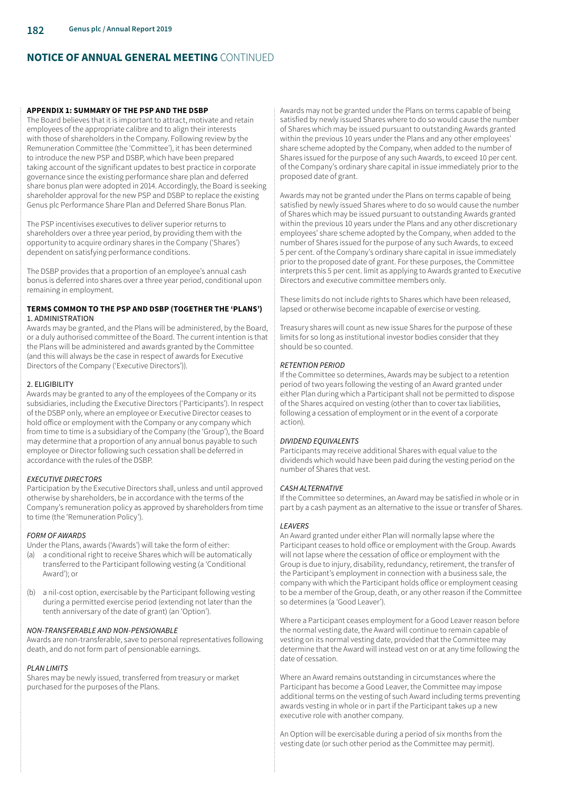#### **APPENDIX 1: SUMMARY OF THE PSP AND THE DSBP**

The Board believes that it is important to attract, motivate and retain employees of the appropriate calibre and to align their interests with those of shareholders in the Company. Following review by the Remuneration Committee (the 'Committee'), it has been determined to introduce the new PSP and DSBP, which have been prepared taking account of the significant updates to best practice in corporate governance since the existing performance share plan and deferred share bonus plan were adopted in 2014. Accordingly, the Board is seeking shareholder approval for the new PSP and DSBP to replace the existing Genus plc Performance Share Plan and Deferred Share Bonus Plan.

The PSP incentivises executives to deliver superior returns to shareholders over a three year period, by providing them with the opportunity to acquire ordinary shares in the Company ('Shares') dependent on satisfying performance conditions.

The DSBP provides that a proportion of an employee's annual cash bonus is deferred into shares over a three year period, conditional upon remaining in employment.

#### **TERMS COMMON TO THE PSP AND DSBP (TOGETHER THE 'PLANS')**  1. ADMINISTRATION

Awards may be granted, and the Plans will be administered, by the Board, or a duly authorised committee of the Board. The current intention is that the Plans will be administered and awards granted by the Committee (and this will always be the case in respect of awards for Executive Directors of the Company ('Executive Directors')).

## 2. ELIGIBILITY

Awards may be granted to any of the employees of the Company or its subsidiaries, including the Executive Directors ('Participants'). In respect of the DSBP only, where an employee or Executive Director ceases to hold office or employment with the Company or any company which from time to time is a subsidiary of the Company (the 'Group'), the Board may determine that a proportion of any annual bonus payable to such employee or Director following such cessation shall be deferred in accordance with the rules of the DSBP.

# *EXECUTIVE DIRECTORS*

Participation by the Executive Directors shall, unless and until approved otherwise by shareholders, be in accordance with the terms of the Company's remuneration policy as approved by shareholders from time to time (the 'Remuneration Policy').

# *FORM OF AWARDS*

Under the Plans, awards ('Awards') will take the form of either:

- (a) a conditional right to receive Shares which will be automatically transferred to the Participant following vesting (a 'Conditional Award'); or
- (b) a nil-cost option, exercisable by the Participant following vesting during a permitted exercise period (extending not later than the tenth anniversary of the date of grant) (an 'Option').

# *NON-TRANSFERABLE AND NON-PENSIONABLE*

Awards are non-transferable, save to personal representatives following death, and do not form part of pensionable earnings.

# *PLAN LIMITS*

Shares may be newly issued, transferred from treasury or market purchased for the purposes of the Plans.

Awards may not be granted under the Plans on terms capable of being satisfied by newly issued Shares where to do so would cause the number of Shares which may be issued pursuant to outstanding Awards granted within the previous 10 years under the Plans and any other employees' share scheme adopted by the Company, when added to the number of Shares issued for the purpose of any such Awards, to exceed 10 per cent. of the Company's ordinary share capital in issue immediately prior to the proposed date of grant.

Awards may not be granted under the Plans on terms capable of being satisfied by newly issued Shares where to do so would cause the number of Shares which may be issued pursuant to outstanding Awards granted within the previous 10 years under the Plans and any other discretionary employees' share scheme adopted by the Company, when added to the number of Shares issued for the purpose of any such Awards, to exceed 5 per cent. of the Company's ordinary share capital in issue immediately prior to the proposed date of grant. For these purposes, the Committee interprets this 5 per cent. limit as applying to Awards granted to Executive Directors and executive committee members only.

These limits do not include rights to Shares which have been released, lapsed or otherwise become incapable of exercise or vesting.

Treasury shares will count as new issue Shares for the purpose of these limits for so long as institutional investor bodies consider that they should be so counted.

## *RETENTION PERIOD*

If the Committee so determines, Awards may be subject to a retention period of two years following the vesting of an Award granted under either Plan during which a Participant shall not be permitted to dispose of the Shares acquired on vesting (other than to cover tax liabilities, following a cessation of employment or in the event of a corporate action).

## *DIVIDEND EQUIVALENTS*

Participants may receive additional Shares with equal value to the dividends which would have been paid during the vesting period on the number of Shares that vest.

## *CASH ALTERNATIVE*

If the Committee so determines, an Award may be satisfied in whole or in part by a cash payment as an alternative to the issue or transfer of Shares.

## *LEAVERS*

An Award granted under either Plan will normally lapse where the Participant ceases to hold office or employment with the Group. Awards will not lapse where the cessation of office or employment with the Group is due to injury, disability, redundancy, retirement, the transfer of the Participant's employment in connection with a business sale, the company with which the Participant holds office or employment ceasing to be a member of the Group, death, or any other reason if the Committee so determines (a 'Good Leaver').

Where a Participant ceases employment for a Good Leaver reason before the normal vesting date, the Award will continue to remain capable of vesting on its normal vesting date, provided that the Committee may determine that the Award will instead vest on or at any time following the date of cessation.

Where an Award remains outstanding in circumstances where the Participant has become a Good Leaver, the Committee may impose additional terms on the vesting of such Award including terms preventing awards vesting in whole or in part if the Participant takes up a new executive role with another company.

An Option will be exercisable during a period of six months from the vesting date (or such other period as the Committee may permit).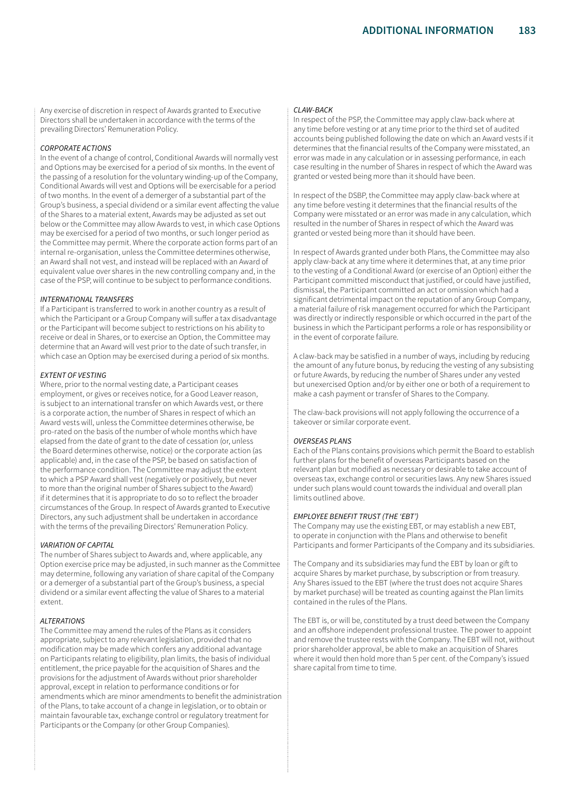Any exercise of discretion in respect of Awards granted to Executive Directors shall be undertaken in accordance with the terms of the prevailing Directors' Remuneration Policy.

#### *CORPORATE ACTIONS*

In the event of a change of control, Conditional Awards will normally vest and Options may be exercised for a period of six months. In the event of the passing of a resolution for the voluntary winding-up of the Company, Conditional Awards will vest and Options will be exercisable for a period of two months. In the event of a demerger of a substantial part of the Group's business, a special dividend or a similar event affecting the value of the Shares to a material extent, Awards may be adjusted as set out below or the Committee may allow Awards to vest, in which case Options may be exercised for a period of two months, or such longer period as the Committee may permit. Where the corporate action forms part of an internal re-organisation, unless the Committee determines otherwise, an Award shall not vest, and instead will be replaced with an Award of equivalent value over shares in the new controlling company and, in the case of the PSP, will continue to be subject to performance conditions.

#### *INTERNATIONAL TRANSFERS*

If a Participant is transferred to work in another country as a result of which the Participant or a Group Company will suffer a tax disadvantage or the Participant will become subject to restrictions on his ability to receive or deal in Shares, or to exercise an Option, the Committee may determine that an Award will vest prior to the date of such transfer, in which case an Option may be exercised during a period of six months.

#### *EXTENT OF VESTING*

Where, prior to the normal vesting date, a Participant ceases employment, or gives or receives notice, for a Good Leaver reason, is subject to an international transfer on which Awards vest, or there is a corporate action, the number of Shares in respect of which an Award vests will, unless the Committee determines otherwise, be pro-rated on the basis of the number of whole months which have elapsed from the date of grant to the date of cessation (or, unless the Board determines otherwise, notice) or the corporate action (as applicable) and, in the case of the PSP, be based on satisfaction of the performance condition. The Committee may adjust the extent to which a PSP Award shall vest (negatively or positively, but never to more than the original number of Shares subject to the Award) if it determines that it is appropriate to do so to reflect the broader circumstances of the Group. In respect of Awards granted to Executive Directors, any such adjustment shall be undertaken in accordance with the terms of the prevailing Directors' Remuneration Policy.

#### *VARIATION OF CAPITAL*

The number of Shares subject to Awards and, where applicable, any Option exercise price may be adjusted, in such manner as the Committee may determine, following any variation of share capital of the Company or a demerger of a substantial part of the Group's business, a special dividend or a similar event affecting the value of Shares to a material extent.

## *ALTERATIONS*

The Committee may amend the rules of the Plans as it considers appropriate, subject to any relevant legislation, provided that no modification may be made which confers any additional advantage on Participants relating to eligibility, plan limits, the basis of individual entitlement, the price payable for the acquisition of Shares and the provisions for the adjustment of Awards without prior shareholder approval, except in relation to performance conditions or for amendments which are minor amendments to benefit the administration of the Plans, to take account of a change in legislation, or to obtain or maintain favourable tax, exchange control or regulatory treatment for Participants or the Company (or other Group Companies).

#### *CLAW-BACK*

In respect of the PSP, the Committee may apply claw-back where at any time before vesting or at any time prior to the third set of audited accounts being published following the date on which an Award vests if it determines that the financial results of the Company were misstated, an error was made in any calculation or in assessing performance, in each case resulting in the number of Shares in respect of which the Award was granted or vested being more than it should have been.

In respect of the DSBP, the Committee may apply claw-back where at any time before vesting it determines that the financial results of the Company were misstated or an error was made in any calculation, which resulted in the number of Shares in respect of which the Award was granted or vested being more than it should have been.

In respect of Awards granted under both Plans, the Committee may also apply claw-back at any time where it determines that, at any time prior to the vesting of a Conditional Award (or exercise of an Option) either the Participant committed misconduct that justified, or could have justified, dismissal, the Participant committed an act or omission which had a significant detrimental impact on the reputation of any Group Company, a material failure of risk management occurred for which the Participant was directly or indirectly responsible or which occurred in the part of the business in which the Participant performs a role or has responsibility or in the event of corporate failure.

A claw-back may be satisfied in a number of ways, including by reducing the amount of any future bonus, by reducing the vesting of any subsisting or future Awards, by reducing the number of Shares under any vested but unexercised Option and/or by either one or both of a requirement to make a cash payment or transfer of Shares to the Company.

The claw-back provisions will not apply following the occurrence of a takeover or similar corporate event.

#### *OVERSEAS PLANS*

Each of the Plans contains provisions which permit the Board to establish further plans for the benefit of overseas Participants based on the relevant plan but modified as necessary or desirable to take account of overseas tax, exchange control or securities laws. Any new Shares issued under such plans would count towards the individual and overall plan limits outlined above.

#### *EMPLOYEE BENEFIT TRUST (THE 'EBT')*

The Company may use the existing EBT, or may establish a new EBT, to operate in conjunction with the Plans and otherwise to benefit Participants and former Participants of the Company and its subsidiaries.

The Company and its subsidiaries may fund the EBT by loan or gift to acquire Shares by market purchase, by subscription or from treasury. Any Shares issued to the EBT (where the trust does not acquire Shares by market purchase) will be treated as counting against the Plan limits contained in the rules of the Plans.

The EBT is, or will be, constituted by a trust deed between the Company and an offshore independent professional trustee. The power to appoint and remove the trustee rests with the Company. The EBT will not, without prior shareholder approval, be able to make an acquisition of Shares where it would then hold more than 5 per cent. of the Company's issued share capital from time to time.